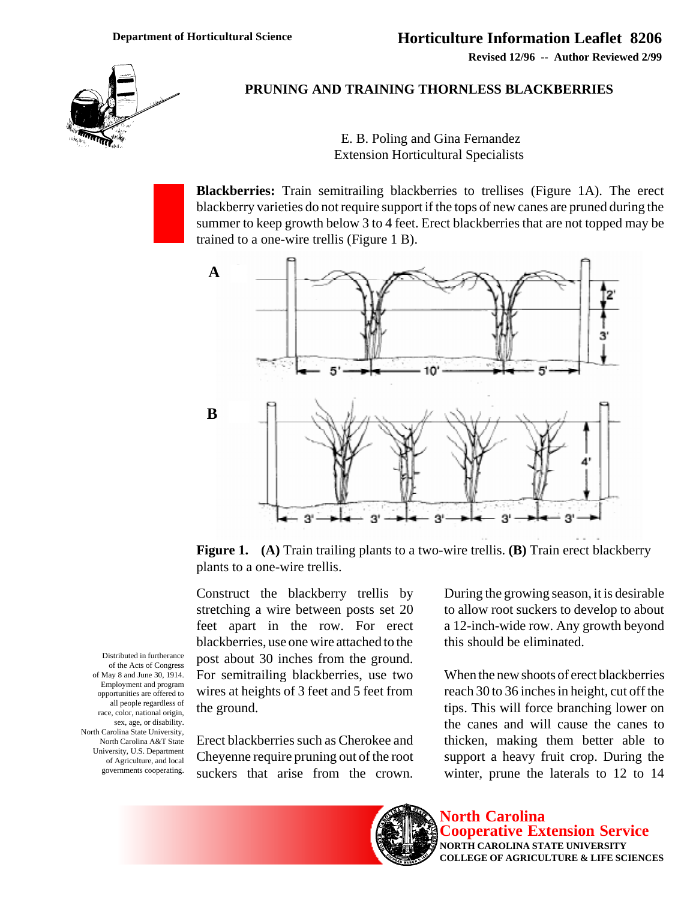**Revised 12/96 -- Author Reviewed 2/99**



## **PRUNING AND TRAINING THORNLESS BLACKBERRIES**

 E. B. Poling and Gina Fernandez Extension Horticultural Specialists

**Blackberries:** Train semitrailing blackberries to trellises (Figure 1A). The erect blackberry varieties do not require support if the tops of new canes are pruned during the summer to keep growth below 3 to 4 feet. Erect blackberries that are not topped may be trained to a one-wire trellis (Figure 1 B).



**Figure 1. (A)** Train trailing plants to a two-wire trellis. **(B)** Train erect blackberry plants to a one-wire trellis.

Construct the blackberry trellis by stretching a wire between posts set 20 feet apart in the row. For erect blackberries, use one wire attached to the post about 30 inches from the ground. For semitrailing blackberries, use two wires at heights of 3 feet and 5 feet from the ground.

Erect blackberries such as Cherokee and Cheyenne require pruning out of the root suckers that arise from the crown.

During the growing season, it is desirable to allow root suckers to develop to about a 12-inch-wide row. Any growth beyond this should be eliminated.

When the new shoots of erect blackberries reach 30 to 36 inches in height, cut off the tips. This will force branching lower on the canes and will cause the canes to thicken, making them better able to support a heavy fruit crop. During the winter, prune the laterals to 12 to 14



**North Carolina Cooperative Extension Service NORTH CAROLINA STATE UNIVERSITY COLLEGE OF AGRICULTURE & LIFE SCIENCES**

Distributed in furtherance of the Acts of Congress of May 8 and June 30, 1914. Employment and program opportunities are offered to all people regardless of race, color, national origin, sex, age, or disability. North Carolina State University, North Carolina A&T State University, U.S. Department of Agriculture, and local governments cooperating.